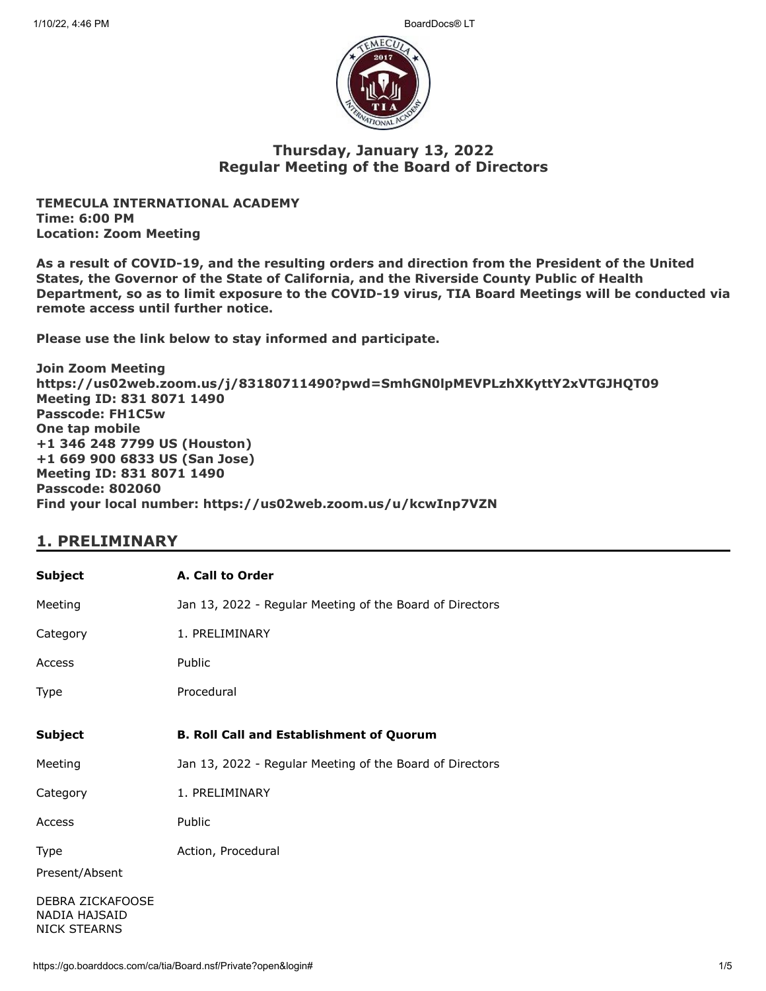

#### **Thursday, January 13, 2022 Regular Meeting of the Board of Directors**

**TEMECULA INTERNATIONAL ACADEMY Time: 6:00 PM Location: Zoom Meeting**

**As a result of COVID-19, and the resulting orders and direction from the President of the United States, the Governor of the State of California, and the Riverside County Public of Health Department, so as to limit exposure to the COVID-19 virus, TIA Board Meetings will be conducted via remote access until further notice.**

**Please use the link below to stay informed and participate.** 

**Join Zoom Meeting https://us02web.zoom.us/j/83180711490?pwd=SmhGN0lpMEVPLzhXKyttY2xVTGJHQT09 Meeting ID: 831 8071 1490 Passcode: FH1C5w One tap mobile +1 346 248 7799 US (Houston) +1 669 900 6833 US (San Jose) Meeting ID: 831 8071 1490 Passcode: 802060 Find your local number: https://us02web.zoom.us/u/kcwInp7VZN**

### **1. PRELIMINARY**

| <b>Subject</b>                                           | A. Call to Order                                         |
|----------------------------------------------------------|----------------------------------------------------------|
| Meeting                                                  | Jan 13, 2022 - Regular Meeting of the Board of Directors |
| Category                                                 | 1. PRELIMINARY                                           |
| Access                                                   | Public                                                   |
| Type                                                     | Procedural                                               |
| <b>Subject</b>                                           | <b>B. Roll Call and Establishment of Quorum</b>          |
| Meeting                                                  | Jan 13, 2022 - Regular Meeting of the Board of Directors |
| Category                                                 | 1. PRELIMINARY                                           |
| Access                                                   | Public                                                   |
| Type<br>Present/Absent                                   | Action, Procedural                                       |
| DEBRA ZICKAFOOSE<br>NADIA HAJSAID<br><b>NICK STEARNS</b> |                                                          |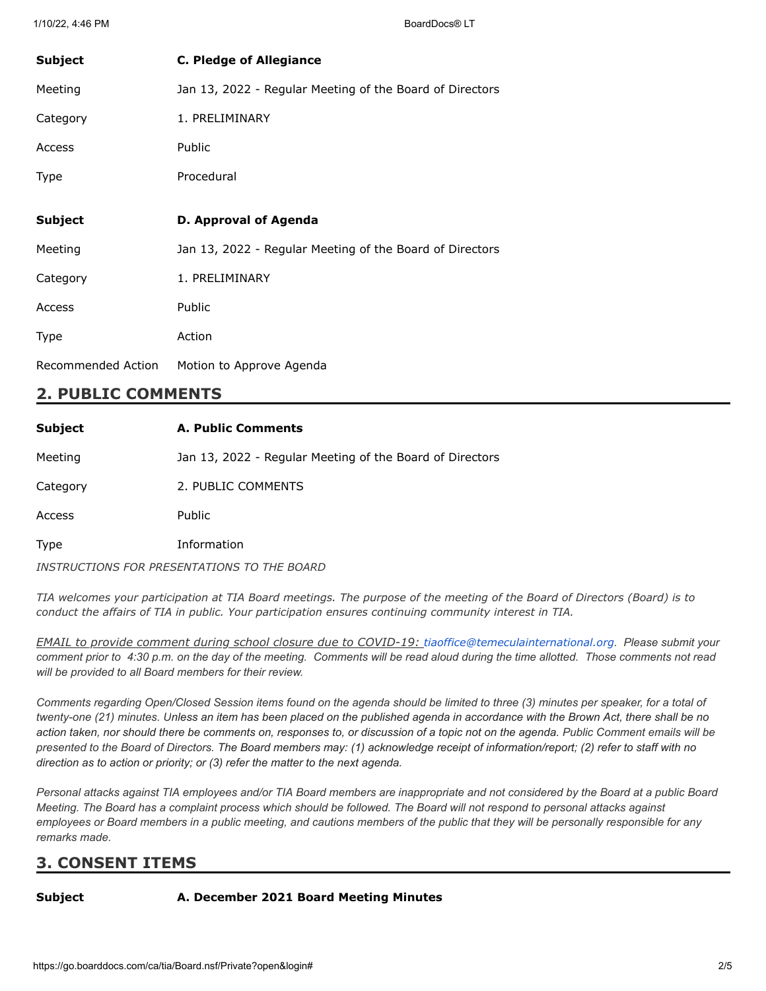| Subject        | <b>C. Pledge of Allegiance</b>                           |
|----------------|----------------------------------------------------------|
| Meeting        | Jan 13, 2022 - Regular Meeting of the Board of Directors |
| Category       | 1. PRELIMINARY                                           |
| Access         | <b>Public</b>                                            |
| Type           | Procedural                                               |
|                |                                                          |
| <b>Subject</b> | D. Approval of Agenda                                    |
| Meeting        | Jan 13, 2022 - Regular Meeting of the Board of Directors |
| Category       | 1. PRELIMINARY                                           |
|                |                                                          |
| Access         | Public                                                   |
| Type           | Action                                                   |

### **2. PUBLIC COMMENTS**

| <b>Subject</b> | A. Public Comments                                       |
|----------------|----------------------------------------------------------|
| Meeting        | Jan 13, 2022 - Regular Meeting of the Board of Directors |
| Category       | 2. PUBLIC COMMENTS                                       |
| Access         | <b>Public</b>                                            |
| Type           | Information                                              |
|                | INSTRUCTIONS FOR PRESENTATIONS TO THE BOARD              |

TIA welcomes your participation at TIA Board meetings. The purpose of the meeting of the Board of Directors (Board) is to *conduct the affairs of TIA in public. Your participation ensures continuing community interest in TIA.*

*EMAIL to provide comment during school closure due to COVID-19: [tiaoffice@temeculainternational.org](mailto:tiaoffice@temeculainternational.org). Please submit your comment prior to 4:30 p.m. on the day of the meeting. Comments will be read aloud during the time allotted. Those comments not read will be provided to all Board members for their review.*

*Comments regarding Open/Closed Session items found on the agenda should be limited to three (3) minutes per speaker, for a total of twenty-one (21) minutes. Unless an item has been placed on the published agenda in accordance with the Brown Act, there shall be no action taken, nor should there be comments on, responses to, or discussion of a topic not on the agenda. Public Comment emails will be presented to the Board of Directors. The Board members may: (1) acknowledge receipt of information/report; (2) refer to staff with no direction as to action or priority; or (3) refer the matter to the next agenda.*

*Personal attacks against TIA employees and/or TIA Board members are inappropriate and not considered by the Board at a public Board Meeting. The Board has a complaint process which should be followed. The Board will not respond to personal attacks against employees or Board members in a public meeting, and cautions members of the public that they will be personally responsible for any remarks made.*

# **3. CONSENT ITEMS**

#### **Subject A. December 2021 Board Meeting Minutes**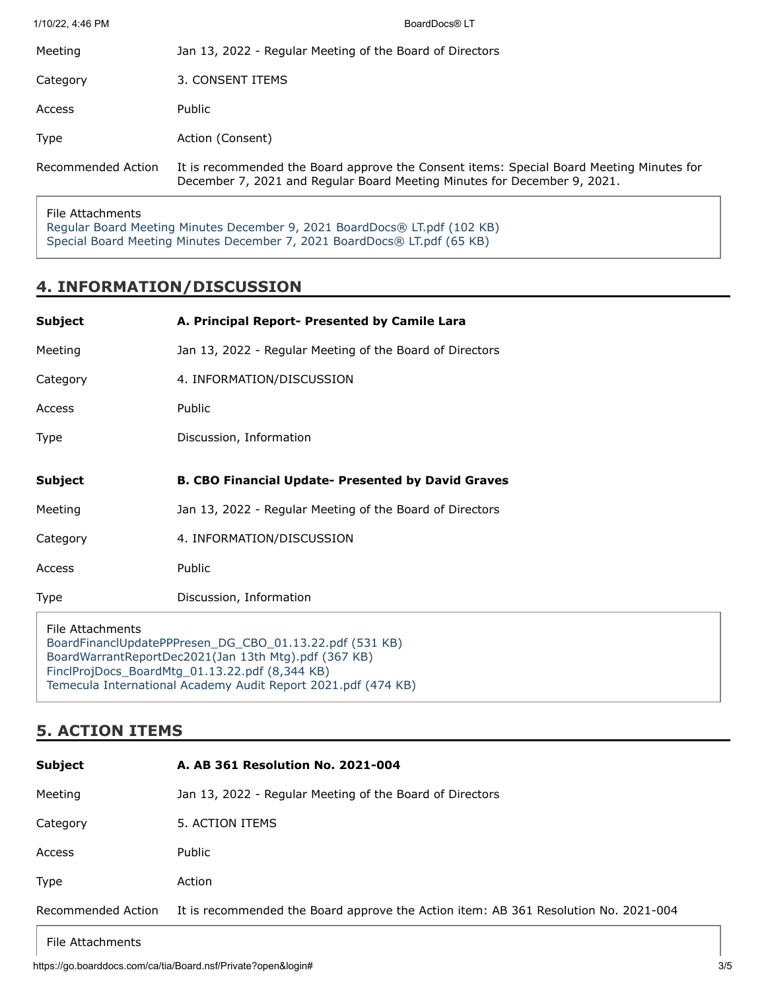| 1/10/22, 4:46 PM   | BoardDocs® LT                                                                                                                                                        |
|--------------------|----------------------------------------------------------------------------------------------------------------------------------------------------------------------|
| Meeting            | Jan 13, 2022 - Regular Meeting of the Board of Directors                                                                                                             |
| Category           | 3. CONSENT ITEMS                                                                                                                                                     |
| Access             | <b>Public</b>                                                                                                                                                        |
| Type               | Action (Consent)                                                                                                                                                     |
| Recommended Action | It is recommended the Board approve the Consent items: Special Board Meeting Minutes for<br>December 7, 2021 and Regular Board Meeting Minutes for December 9, 2021. |
|                    |                                                                                                                                                                      |

File Attachments [Regular Board Meeting Minutes December 9, 2021 BoardDocs® LT.pdf \(102 KB\)](https://go.boarddocs.com/ca/tia/Board.nsf/files/CAJTL6763FDA/$file/Regular%20Board%20Meeting%20Minutes%20December%209%2C%202021%20BoardDocs%C2%AE%20LT.pdf) [Special Board Meeting Minutes December 7, 2021 BoardDocs® LT.pdf \(65 KB\)](https://go.boarddocs.com/ca/tia/Board.nsf/files/CAJTL8763FE4/$file/Special%20Board%20Meeting%20Minutes%20December%207%2C%202021%20BoardDocs%C2%AE%20LT.pdf)

## **4. INFORMATION/DISCUSSION**

| <b>Subject</b>   | A. Principal Report- Presented by Camile Lara             |
|------------------|-----------------------------------------------------------|
| Meeting          | Jan 13, 2022 - Regular Meeting of the Board of Directors  |
| Category         | 4. INFORMATION/DISCUSSION                                 |
| Access           | Public                                                    |
| <b>Type</b>      | Discussion, Information                                   |
| <b>Subject</b>   | <b>B. CBO Financial Update- Presented by David Graves</b> |
| Meeting          | Jan 13, 2022 - Regular Meeting of the Board of Directors  |
| Category         | 4. INFORMATION/DISCUSSION                                 |
| Access           | Public                                                    |
| Type             | Discussion, Information                                   |
| File Attachments | BoardFinanclUpdatePPPresen_DG_CBO_01.13.22.pdf (531 KB)   |

[BoardWarrantReportDec2021\(Jan 13th Mtg\).pdf \(367 KB\)](https://go.boarddocs.com/ca/tia/Board.nsf/files/CAK2VQ040BB9/$file/BoardWarrantReportDec2021(Jan%2013th%20Mtg).pdf) [FinclProjDocs\\_BoardMtg\\_01.13.22.pdf \(8,344 KB\)](https://go.boarddocs.com/ca/tia/Board.nsf/files/CAK2VS040DEF/$file/FinclProjDocs_BoardMtg_01.13.22.pdf) [Temecula International Academy Audit Report 2021.pdf \(474 KB\)](https://go.boarddocs.com/ca/tia/Board.nsf/files/CAK2VU040E19/$file/Temecula%20International%20Academy%20Audit%20Report%202021.pdf)

# **5. ACTION ITEMS**

| <b>Subject</b>     | A. AB 361 Resolution No. 2021-004                                                   |
|--------------------|-------------------------------------------------------------------------------------|
| Meeting            | Jan 13, 2022 - Regular Meeting of the Board of Directors                            |
| Category           | 5. ACTION ITEMS                                                                     |
| Access             | Public                                                                              |
| <b>Type</b>        | Action                                                                              |
| Recommended Action | It is recommended the Board approve the Action item: AB 361 Resolution No. 2021-004 |

File Attachments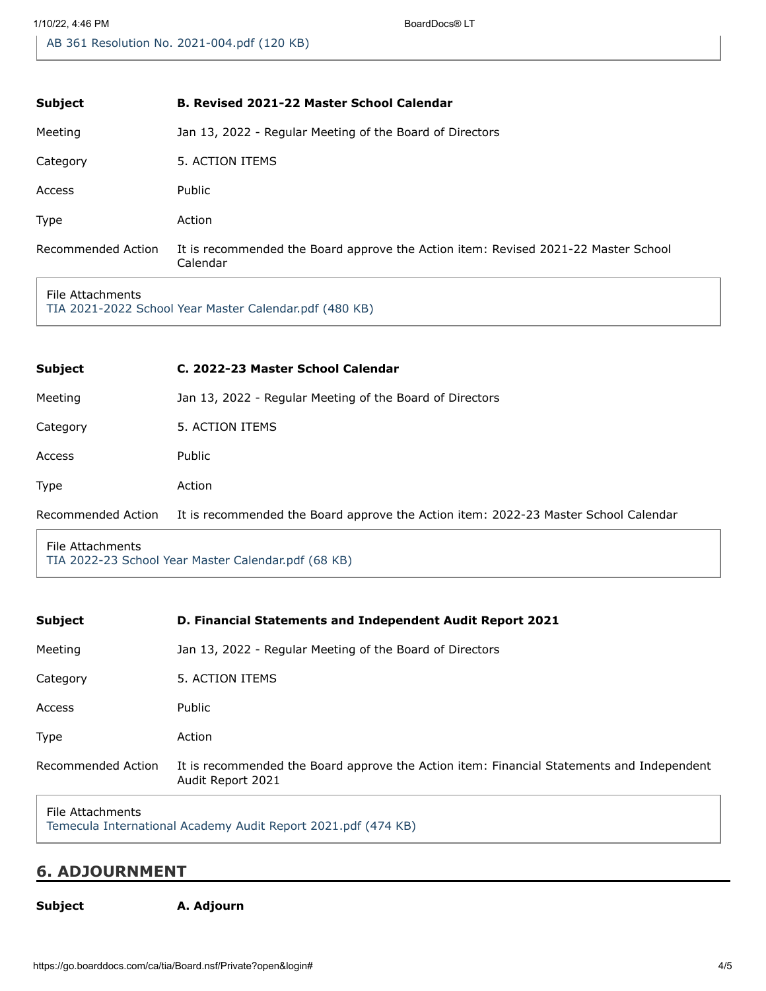| <b>Subject</b>     | <b>B. Revised 2021-22 Master School Calendar</b>                                               |
|--------------------|------------------------------------------------------------------------------------------------|
| Meeting            | Jan 13, 2022 - Regular Meeting of the Board of Directors                                       |
| Category           | 5. ACTION ITEMS                                                                                |
| Access             | Public                                                                                         |
| Type               | Action                                                                                         |
| Recommended Action | It is recommended the Board approve the Action item: Revised 2021-22 Master School<br>Calendar |

#### File Attachments

[TIA 2021-2022 School Year Master Calendar.pdf \(480 KB\)](https://go.boarddocs.com/ca/tia/Board.nsf/files/CAJTZ9782C19/$file/TIA%202021-2022%20School%20Year%20Master%20Calendar.pdf)

| <b>Subject</b>     | C. 2022-23 Master School Calendar                                                   |
|--------------------|-------------------------------------------------------------------------------------|
| Meeting            | Jan 13, 2022 - Regular Meeting of the Board of Directors                            |
| Category           | 5. ACTION ITEMS                                                                     |
| Access             | Public                                                                              |
| Type               | Action                                                                              |
| Recommended Action | It is recommended the Board approve the Action item: 2022-23 Master School Calendar |
|                    |                                                                                     |

File Attachments [TIA 2022-23 School Year Master Calendar.pdf \(68 KB\)](https://go.boarddocs.com/ca/tia/Board.nsf/files/CAK2Q20336D2/$file/TIA%202022-23%20School%20Year%20Master%20Calendar.pdf)

| <b>Subject</b>     | <b>D. Financial Statements and Independent Audit Report 2021</b>                                               |
|--------------------|----------------------------------------------------------------------------------------------------------------|
| Meeting            | Jan 13, 2022 - Regular Meeting of the Board of Directors                                                       |
| Category           | 5. ACTION ITEMS                                                                                                |
| Access             | Public                                                                                                         |
| Type               | Action                                                                                                         |
| Recommended Action | It is recommended the Board approve the Action item: Financial Statements and Independent<br>Audit Report 2021 |
|                    |                                                                                                                |

#### File Attachments

[Temecula International Academy Audit Report 2021.pdf \(474 KB\)](https://go.boarddocs.com/ca/tia/Board.nsf/files/CAJTP5770E7F/$file/Temecula%20International%20Academy%20Audit%20Report%202021.pdf)

#### **6. ADJOURNMENT**

**Subject A. Adjourn**